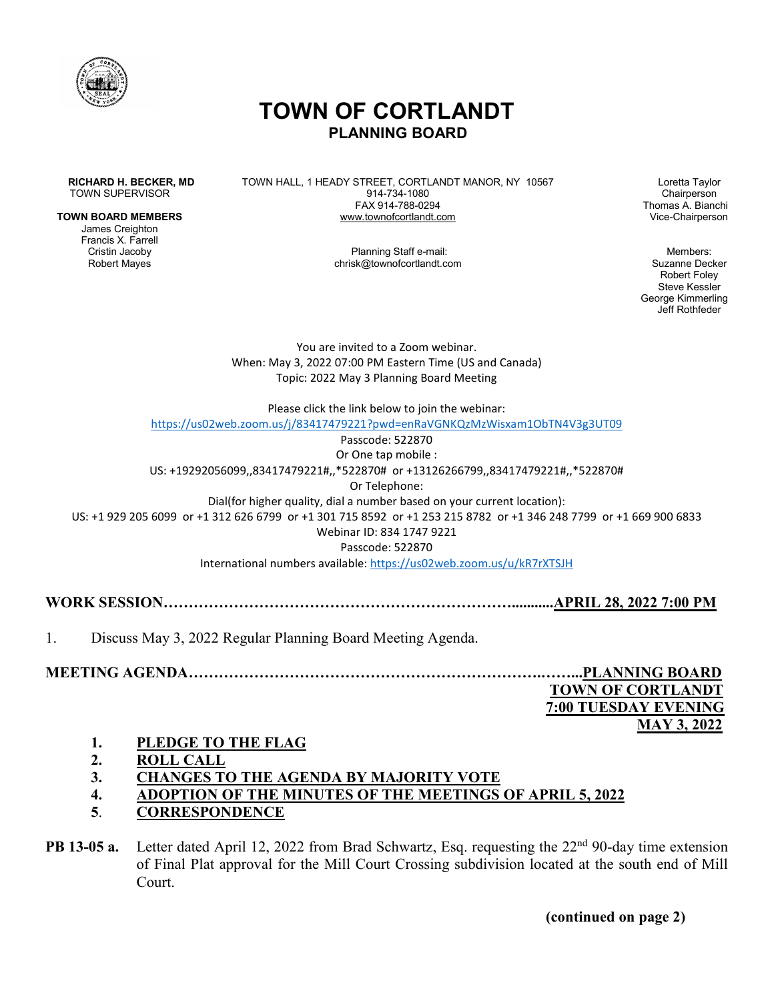

# **TOWN OF CORTLANDT PLANNING BOARD**

#### **TOWN BOARD MEMBERS**

James Creighton Francis X. Farrell

**RICHARD H. BECKER, MD** TOWN HALL, 1 HEADY STREET, CORTLANDT MANOR, NY 10567 Loretta Taylor<br>TOWN SUPERVISOR Dairperson 914-734-1080 TOWN SUPERVISOR CHAIR CONSULTER SUPERVISOR CHAIRPERS AND TOWN SUPERVISOR CHAIRPERS CHAIRPERS AND SUPERVISOR CH<br>FAX 914-788-0294 Chairperson Thomas A. Bianchi FAX 914-788-0294 Thomas A. Bianchi

Cristin Jacoby **Planning Staff e-mail:** Planning Staff e-mail:<br>Robert Mayes **Planning Staff e-mail:** Chrisk@townofcortlandt.com chrisk@townofcortlandt.com

Robert Foley Steve Kessler George Kimmerling Jeff Rothfeder

You are invited to a Zoom webinar. When: May 3, 2022 07:00 PM Eastern Time (US and Canada) Topic: 2022 May 3 Planning Board Meeting

Please click the link below to join the webinar:

<https://us02web.zoom.us/j/83417479221?pwd=enRaVGNKQzMzWisxam1ObTN4V3g3UT09>

Passcode: 522870

Or One tap mobile : US: +19292056099,,83417479221#,,\*522870# or +13126266799,,83417479221#,,\*522870# Or Telephone: Dial(for higher quality, dial a number based on your current location): US: +1 929 205 6099 or +1 312 626 6799 or +1 301 715 8592 or +1 253 215 8782 or +1 346 248 7799 or +1 669 900 6833 Webinar ID: 834 1747 9221 Passcode: 522870 International numbers available:<https://us02web.zoom.us/u/kR7rXTSJH>

**WORK SESSION……………………………………………………………...........APRIL 28, 2022 7:00 PM**

1. Discuss May 3, 2022 Regular Planning Board Meeting Agenda.

**MEETING AGENDA…………………………………………………………….……...PLANNING BOARD TOWN OF CORTLANDT**

 **7:00 TUESDAY EVENING MAY 3, 2022**

- **1. PLEDGE TO THE FLAG**
- **2. ROLL CALL**
- **3. CHANGES TO THE AGENDA BY MAJORITY VOTE**
- **4. ADOPTION OF THE MINUTES OF THE MEETINGS OF APRIL 5, 2022**
- **5**. **CORRESPONDENCE**

**PB 13-05 a.** Letter dated April 12, 2022 from Brad Schwartz, Esq. requesting the 22<sup>nd</sup> 90-day time extension of Final Plat approval for the Mill Court Crossing subdivision located at the south end of Mill Court.

**(continued on page 2)**